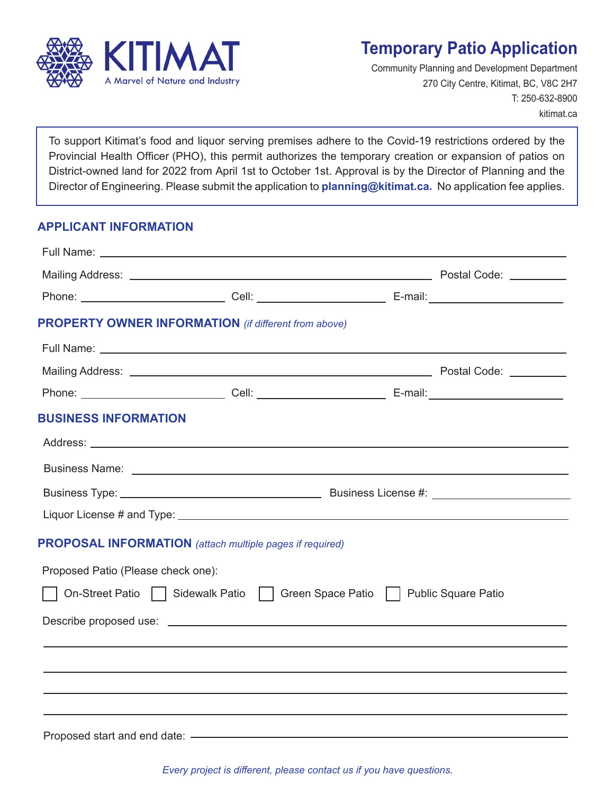

## **Temporary Patio Application**

Community Planning and Development Department 270 City Centre, Kitimat, BC, V8C 2H7 T: 250-632-8900 kitimat.ca

To support Kitimat's food and liquor serving premises adhere to the Covid-19 restrictions ordered by the Provincial Health Officer (PHO), this permit authorizes the temporary creation or expansion of patios on District-owned land for 2022 from April 1st to October 1st. Approval is by the Director of Planning and the Director of Engineering. Please submit the application to **planning@kitimat.ca.** No application fee applies.

#### **APPLICANT INFORMATION**

|                                    | <b>PROPERTY OWNER INFORMATION</b> (if different from above)     |                                                                                  |
|------------------------------------|-----------------------------------------------------------------|----------------------------------------------------------------------------------|
|                                    |                                                                 |                                                                                  |
|                                    |                                                                 |                                                                                  |
|                                    |                                                                 |                                                                                  |
| <b>BUSINESS INFORMATION</b>        |                                                                 |                                                                                  |
|                                    |                                                                 |                                                                                  |
|                                    |                                                                 |                                                                                  |
|                                    |                                                                 |                                                                                  |
|                                    |                                                                 |                                                                                  |
|                                    | <b>PROPOSAL INFORMATION</b> (attach multiple pages if required) |                                                                                  |
| Proposed Patio (Please check one): |                                                                 |                                                                                  |
|                                    |                                                                 | On-Street Patio     Sidewalk Patio     Green Space Patio     Public Square Patio |
|                                    |                                                                 |                                                                                  |
|                                    |                                                                 |                                                                                  |
|                                    |                                                                 |                                                                                  |
|                                    |                                                                 |                                                                                  |
|                                    |                                                                 |                                                                                  |
|                                    |                                                                 |                                                                                  |

*Every project is different, please contact us if you have questions.*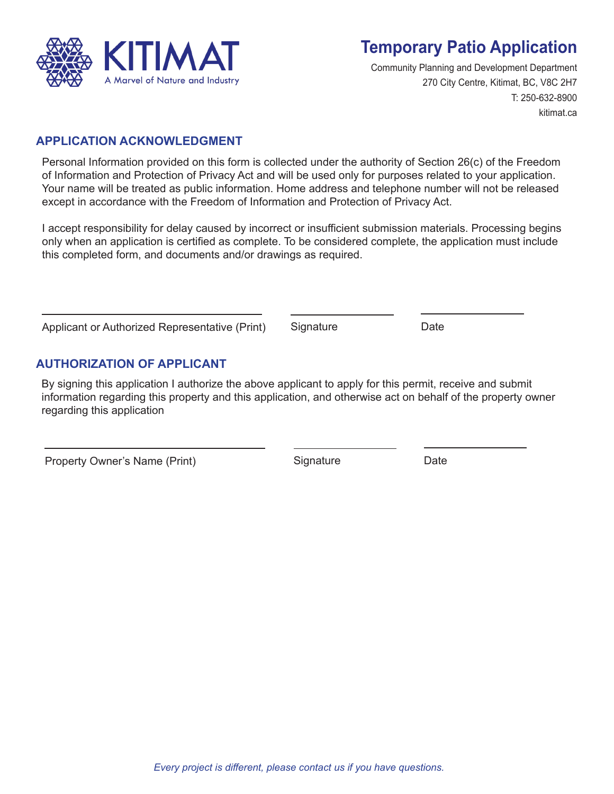

# **Temporary Patio Application**

Community Planning and Development Department 270 City Centre, Kitimat, BC, V8C 2H7 T: 250-632-8900 kitimat.ca

#### **APPLICATION ACKNOWLEDGMENT**

Personal Information provided on this form is collected under the authority of Section 26(c) of the Freedom of Information and Protection of Privacy Act and will be used only for purposes related to your application. Your name will be treated as public information. Home address and telephone number will not be released except in accordance with the Freedom of Information and Protection of Privacy Act.

I accept responsibility for delay caused by incorrect or insufficient submission materials. Processing begins only when an application is certified as complete. To be considered complete, the application must include this completed form, and documents and/or drawings as required.

|                                                |  | Signature | Date |
|------------------------------------------------|--|-----------|------|
| Applicant or Authorized Representative (Print) |  |           |      |

### **AUTHORIZATION OF APPLICANT**

By signing this application I authorize the above applicant to apply for this permit, receive and submit information regarding this property and this application, and otherwise act on behalf of the property owner regarding this application

Property Owner's Name (Print) Signature Signature Date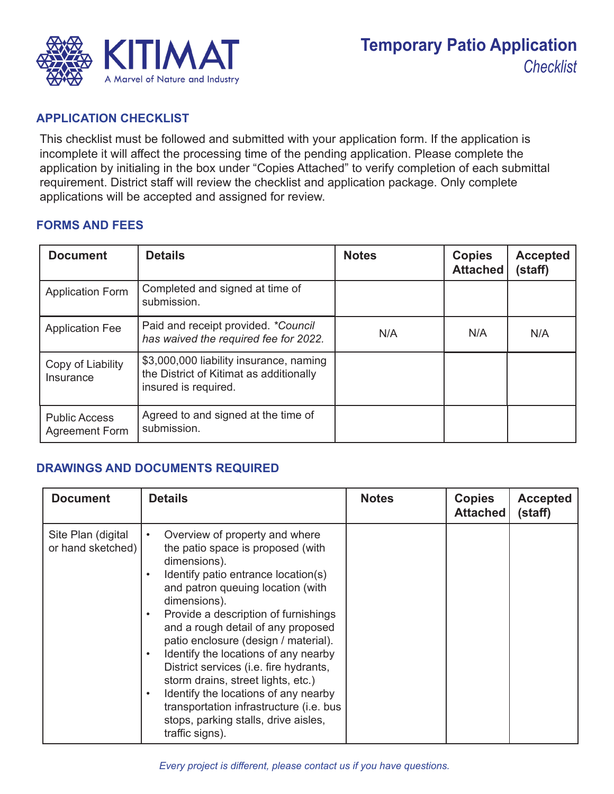

#### **APPLICATION CHECKLIST**

This checklist must be followed and submitted with your application form. If the application is incomplete it will affect the processing time of the pending application. Please complete the application by initialing in the box under "Copies Attached" to verify completion of each submittal requirement. District staff will review the checklist and application package. Only complete applications will be accepted and assigned for review.

#### **FORMS AND FEES**

| <b>Document</b>                               | <b>Details</b>                                                                                             | <b>Notes</b> | <b>Copies</b><br><b>Attached</b> | <b>Accepted</b><br>(staff) |
|-----------------------------------------------|------------------------------------------------------------------------------------------------------------|--------------|----------------------------------|----------------------------|
| <b>Application Form</b>                       | Completed and signed at time of<br>submission.                                                             |              |                                  |                            |
| <b>Application Fee</b>                        | Paid and receipt provided. *Council<br>has waived the required fee for 2022.                               | N/A          | N/A                              | N/A                        |
| Copy of Liability<br>Insurance                | \$3,000,000 liability insurance, naming<br>the District of Kitimat as additionally<br>insured is required. |              |                                  |                            |
| <b>Public Access</b><br><b>Agreement Form</b> | Agreed to and signed at the time of<br>submission.                                                         |              |                                  |                            |

### **DRAWINGS AND DOCUMENTS REQUIRED**

| <b>Document</b>                         | <b>Details</b>                                                                                                                                                                                                                                                                                                                                                                                                                                                                                                                                                                           | <b>Notes</b> | <b>Copies</b><br><b>Attached</b> | <b>Accepted</b><br>(staff) |
|-----------------------------------------|------------------------------------------------------------------------------------------------------------------------------------------------------------------------------------------------------------------------------------------------------------------------------------------------------------------------------------------------------------------------------------------------------------------------------------------------------------------------------------------------------------------------------------------------------------------------------------------|--------------|----------------------------------|----------------------------|
| Site Plan (digital<br>or hand sketched) | Overview of property and where<br>$\bullet$<br>the patio space is proposed (with<br>dimensions).<br>Identify patio entrance location(s)<br>and patron queuing location (with<br>dimensions).<br>Provide a description of furnishings<br>and a rough detail of any proposed<br>patio enclosure (design / material).<br>Identify the locations of any nearby<br>District services (i.e. fire hydrants,<br>storm drains, street lights, etc.)<br>Identify the locations of any nearby<br>transportation infrastructure (i.e. bus<br>stops, parking stalls, drive aisles,<br>traffic signs). |              |                                  |                            |

*Every project is different, please contact us if you have questions.*